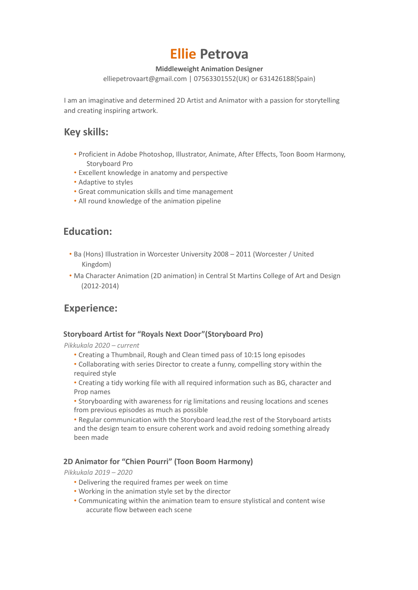# **Ellie Petrova**

## **Middleweight Animation Designer**

elliepetrovaart@gmail.com | 07563301552(UK) or 631426188(Spain)

I am an imaginative and determined 2D Artist and Animator with a passion for storytelling and creating inspiring artwork.

# **Key skills:**

- Proficient in Adobe Photoshop, Illustrator, Animate, After Effects, Toon Boom Harmony, Storyboard Pro
- Excellent knowledge in anatomy and perspective
- Adaptive to styles
- Great communication skills and time management
- All round knowledge of the animation pipeline

# **Education:**

- Ba (Hons) Illustration in Worcester University 2008 2011 (Worcester / United Kingdom)
- Ma Character Animation (2D animation) in Central St Martins College of Art and Design (2012-2014)

# **Experience:**

## **Storyboard Artist for "Royals Next Door"(Storyboard Pro)**

*Pikkukala 2020 – current*

- Creating a Thumbnail, Rough and Clean timed pass of 10:15 long episodes
- Collaborating with series Director to create a funny, compelling story within the required style
- Creating a tidy working file with all required information such as BG, character and Prop names
- Storyboarding with awareness for rig limitations and reusing locations and scenes from previous episodes as much as possible

• Regular communication with the Storyboard lead,the rest of the Storyboard artists and the design team to ensure coherent work and avoid redoing something already been made

## **2D Animator for "Chien Pourri" (Toon Boom Harmony)**

*Pikkukala 2019 – 2020*

- Delivering the required frames per week on time
- Working in the animation style set by the director
- Communicating within the animation team to ensure stylistical and content wise accurate flow between each scene